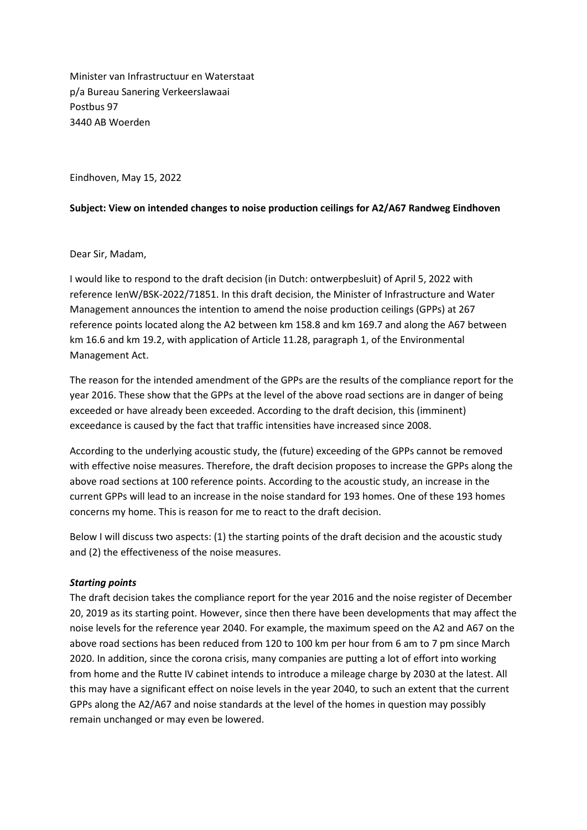Minister van Infrastructuur en Waterstaat p/a Bureau Sanering Verkeerslawaai Postbus 97 3440 AB Woerden

Eindhoven, May 15, 2022

## **Subject: View on intended changes to noise production ceilings for A2/A67 Randweg Eindhoven**

Dear Sir, Madam,

I would like to respond to the draft decision (in Dutch: ontwerpbesluit) of April 5, 2022 with reference IenW/BSK-2022/71851. In this draft decision, the Minister of Infrastructure and Water Management announces the intention to amend the noise production ceilings (GPPs) at 267 reference points located along the A2 between km 158.8 and km 169.7 and along the A67 between km 16.6 and km 19.2, with application of Article 11.28, paragraph 1, of the Environmental Management Act.

The reason for the intended amendment of the GPPs are the results of the compliance report for the year 2016. These show that the GPPs at the level of the above road sections are in danger of being exceeded or have already been exceeded. According to the draft decision, this (imminent) exceedance is caused by the fact that traffic intensities have increased since 2008.

According to the underlying acoustic study, the (future) exceeding of the GPPs cannot be removed with effective noise measures. Therefore, the draft decision proposes to increase the GPPs along the above road sections at 100 reference points. According to the acoustic study, an increase in the current GPPs will lead to an increase in the noise standard for 193 homes. One of these 193 homes concerns my home. This is reason for me to react to the draft decision.

Below I will discuss two aspects: (1) the starting points of the draft decision and the acoustic study and (2) the effectiveness of the noise measures.

## *Starting points*

The draft decision takes the compliance report for the year 2016 and the noise register of December 20, 2019 as its starting point. However, since then there have been developments that may affect the noise levels for the reference year 2040. For example, the maximum speed on the A2 and A67 on the above road sections has been reduced from 120 to 100 km per hour from 6 am to 7 pm since March 2020. In addition, since the corona crisis, many companies are putting a lot of effort into working from home and the Rutte IV cabinet intends to introduce a mileage charge by 2030 at the latest. All this may have a significant effect on noise levels in the year 2040, to such an extent that the current GPPs along the A2/A67 and noise standards at the level of the homes in question may possibly remain unchanged or may even be lowered.